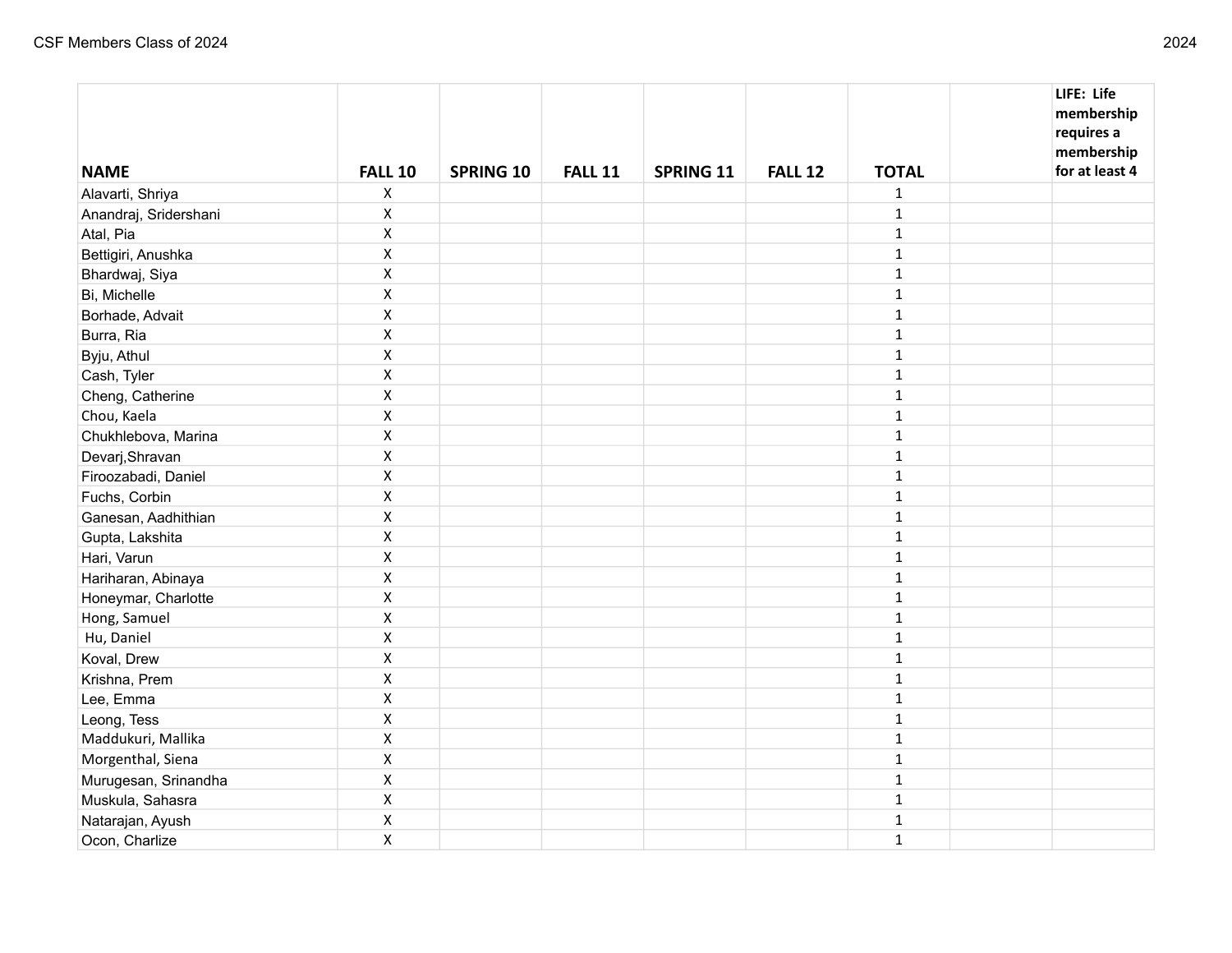| <b>NAME</b>           | <b>FALL 10</b>     | <b>SPRING 10</b> | <b>FALL 11</b> | <b>SPRING 11</b> | <b>FALL 12</b> | <b>TOTAL</b> | LIFE: Life<br>membership<br>requires a<br>membership<br>for at least 4 |
|-----------------------|--------------------|------------------|----------------|------------------|----------------|--------------|------------------------------------------------------------------------|
| Alavarti, Shriya      | $\pmb{\mathsf{X}}$ |                  |                |                  |                | $\mathbf{1}$ |                                                                        |
| Anandraj, Sridershani | $\pmb{\mathsf{X}}$ |                  |                |                  |                | $\mathbf 1$  |                                                                        |
| Atal, Pia             | $\pmb{\mathsf{X}}$ |                  |                |                  |                | $\mathbf 1$  |                                                                        |
| Bettigiri, Anushka    | $\pmb{\mathsf{X}}$ |                  |                |                  |                | $\mathbf{1}$ |                                                                        |
| Bhardwaj, Siya        | $\pmb{\mathsf{X}}$ |                  |                |                  |                | $\mathbf{1}$ |                                                                        |
| Bi, Michelle          | $\pmb{\mathsf{X}}$ |                  |                |                  |                | $\mathbf 1$  |                                                                        |
| Borhade, Advait       | $\pmb{\mathsf{X}}$ |                  |                |                  |                | $\mathbf{1}$ |                                                                        |
| Burra, Ria            | $\pmb{\mathsf{X}}$ |                  |                |                  |                | $\mathbf{1}$ |                                                                        |
| Byju, Athul           | $\pmb{\mathsf{X}}$ |                  |                |                  |                | $\mathbf{1}$ |                                                                        |
| Cash, Tyler           | $\pmb{\mathsf{X}}$ |                  |                |                  |                | $\mathbf{1}$ |                                                                        |
| Cheng, Catherine      | $\pmb{\mathsf{X}}$ |                  |                |                  |                | $\mathbf{1}$ |                                                                        |
| Chou, Kaela           | $\pmb{\mathsf{X}}$ |                  |                |                  |                | $\mathbf{1}$ |                                                                        |
| Chukhlebova, Marina   | $\pmb{\mathsf{X}}$ |                  |                |                  |                | $\mathbf{1}$ |                                                                        |
| Devarj, Shravan       | $\pmb{\mathsf{X}}$ |                  |                |                  |                | $\mathbf{1}$ |                                                                        |
| Firoozabadi, Daniel   | $\pmb{\mathsf{X}}$ |                  |                |                  |                | $\mathbf{1}$ |                                                                        |
| Fuchs, Corbin         | $\pmb{\mathsf{X}}$ |                  |                |                  |                | $\mathbf{1}$ |                                                                        |
| Ganesan, Aadhithian   | $\pmb{\mathsf{X}}$ |                  |                |                  |                | $\mathbf{1}$ |                                                                        |
| Gupta, Lakshita       | $\pmb{\mathsf{X}}$ |                  |                |                  |                | $\mathbf 1$  |                                                                        |
| Hari, Varun           | $\pmb{\mathsf{X}}$ |                  |                |                  |                | $\mathbf{1}$ |                                                                        |
| Hariharan, Abinaya    | $\pmb{\mathsf{X}}$ |                  |                |                  |                | $\mathbf{1}$ |                                                                        |
| Honeymar, Charlotte   | $\pmb{\mathsf{X}}$ |                  |                |                  |                | $\mathbf{1}$ |                                                                        |
| Hong, Samuel          | $\pmb{\mathsf{X}}$ |                  |                |                  |                | $\mathbf{1}$ |                                                                        |
| Hu, Daniel            | $\pmb{\mathsf{X}}$ |                  |                |                  |                | $\mathbf{1}$ |                                                                        |
| Koval, Drew           | $\pmb{\mathsf{X}}$ |                  |                |                  |                | $\mathbf 1$  |                                                                        |
| Krishna, Prem         | $\pmb{\mathsf{X}}$ |                  |                |                  |                | $\mathbf{1}$ |                                                                        |
| Lee, Emma             | $\pmb{\mathsf{X}}$ |                  |                |                  |                | $\mathbf{1}$ |                                                                        |
| Leong, Tess           | $\pmb{\mathsf{X}}$ |                  |                |                  |                | $\mathbf 1$  |                                                                        |
| Maddukuri, Mallika    | $\pmb{\mathsf{X}}$ |                  |                |                  |                | $\mathbf 1$  |                                                                        |
| Morgenthal, Siena     | $\pmb{\mathsf{X}}$ |                  |                |                  |                | $\mathbf{1}$ |                                                                        |
| Murugesan, Srinandha  | $\pmb{\mathsf{X}}$ |                  |                |                  |                | $\mathbf 1$  |                                                                        |
| Muskula, Sahasra      | $\pmb{\mathsf{X}}$ |                  |                |                  |                | $\mathbf{1}$ |                                                                        |
| Natarajan, Ayush      | $\pmb{\mathsf{X}}$ |                  |                |                  |                | $\mathbf{1}$ |                                                                        |
| Ocon, Charlize        | $\pmb{\mathsf{X}}$ |                  |                |                  |                | $\mathbf{1}$ |                                                                        |